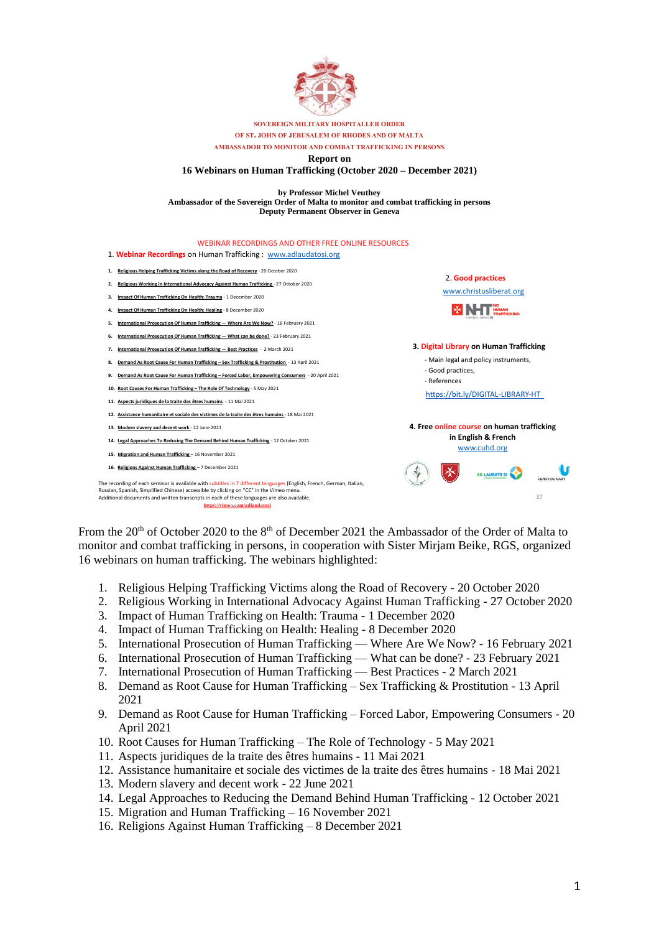

#### **SOVEREIGN MILITARY HOSPITALLER ORDER OF ST. JOHN OF JERUSALEM OF RHODES AND OF MALTA AMBASSADOR TO MONITOR AND COMBAT TRAFFICKING IN PERSONS Report on 16 Webinars on Human Trafficking (October 2020 – December 2021)**

**by Professor Michel Veuthey Ambassador of the Sovereign Order of Malta to monitor and combat trafficking in persons Deputy Permanent Observer in Geneva**



From the 20<sup>th</sup> of October 2020 to the 8<sup>th</sup> of December 2021 the Ambassador of the Order of Malta to monitor and combat trafficking in persons, in cooperation with Sister Mirjam Beike, RGS, organized 16 webinars on human trafficking. The webinars highlighted:

- 1. Religious Helping Trafficking Victims along the Road of Recovery 20 October 2020
- 2. Religious Working in International Advocacy Against Human Trafficking 27 October 2020
- 3. Impact of Human Trafficking on Health: Trauma 1 December 2020
- 4. Impact of Human Trafficking on Health: Healing 8 December 2020
- 5. International Prosecution of Human Trafficking Where Are We Now? 16 February 2021
- 6. International Prosecution of Human Trafficking What can be done? 23 February 2021
- 7. International Prosecution of Human Trafficking Best Practices 2 March 2021
- 8. Demand as Root Cause for Human Trafficking Sex Trafficking & Prostitution 13 April 2021
- 9. Demand as Root Cause for Human Trafficking Forced Labor, Empowering Consumers 20 April 2021
- 10. Root Causes for Human Trafficking The Role of Technology 5 May 2021
- 11. Aspects juridiques de la traite des êtres humains 11 Mai 2021
- 12. Assistance humanitaire et sociale des victimes de la traite des êtres humains 18 Mai 2021
- 13. Modern slavery and decent work 22 June 2021
- 14. Legal Approaches to Reducing the Demand Behind Human Trafficking 12 October 2021
- 15. Migration and Human Trafficking 16 November 2021
- 16. Religions Against Human Trafficking 8 December 2021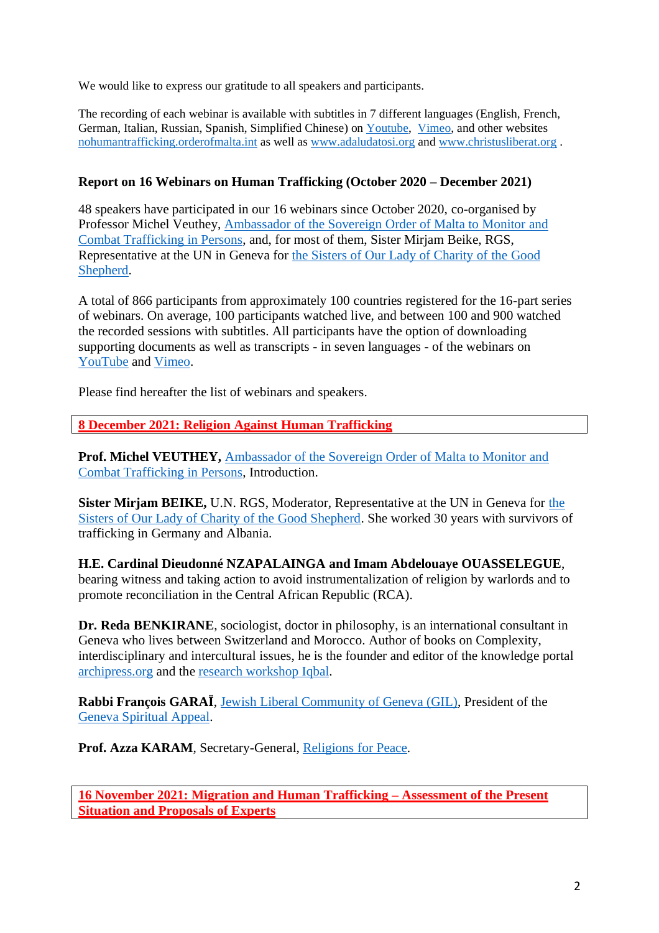We would like to express our gratitude to all speakers and participants.

The recording of each webinar is available with subtitles in 7 different languages (English, French, German, Italian, Russian, Spanish, Simplified Chinese) on [Youtube,](https://www.youtube.com/channel/UCkx8SSOMeRXmCK1nfhHr8Qg/featured) [Vimeo,](https://vimeo.com/adlaudatosi) and other websites [nohumantrafficking.orderofmalta.int](https://nohumantrafficking.orderofmalta.int/en/) as well as [www.adaludatosi.org](http://www.adaludatosi.org/) and [www.christusliberat.org](http://www.christusliberat.org/) .

## **Report on 16 Webinars on Human Trafficking (October 2020 – December 2021)**

48 speakers have participated in our 16 webinars since October 2020, co-organised by Professor Michel Veuthey, [Ambassador](https://nohumantrafficking.orderofmalta.int/en/the-ambassador/) of the Sovereign Order of Malta to Monitor and Combat [Trafficking](https://nohumantrafficking.orderofmalta.int/en/the-ambassador/) in Persons, and, for most of them, Sister Mirjam Beike, RGS, Representative at the UN in Geneva for the Sisters of Our Lady of [Charity](https://rgs.gssweb.org/) of the Good [Shepherd.](https://rgs.gssweb.org/)

A total of 866 participants from approximately 100 countries registered for the 16-part series of webinars. On average, 100 participants watched live, and between 100 and 900 watched the recorded sessions with subtitles. All participants have the option of downloading supporting documents as well as transcripts - in seven languages - of the webinars on [YouTube](https://www.youtube.com/channel/UCkx8SSOMeRXmCK1nfhHr8Qg/featured) and [Vimeo.](https://vimeo.com/adlaudatosi)

Please find hereafter the list of webinars and speakers.

**8 December 2021: Religion Against Human Trafficking**

**Prof. Michel VEUTHEY,** [Ambassador](https://nohumantrafficking.orderofmalta.int/en/the-ambassador/) of the Sovereign Order of Malta to Monitor and Combat [Trafficking](https://nohumantrafficking.orderofmalta.int/en/the-ambassador/) in Persons, Introduction.

**Sister Mirjam BEIKE,** U.N. RGS, Moderator, Representative at the UN in Geneva for [the](https://rgs.gssweb.org/) Sisters of Our Lady of Charity of the Good [Shepherd.](https://rgs.gssweb.org/) She worked 30 years with survivors of trafficking in Germany and Albania.

**H.E. Cardinal Dieudonné NZAPALAINGA and Imam Abdelouaye OUASSELEGUE**, bearing witness and taking action to avoid instrumentalization of religion by warlords and to promote reconciliation in the Central African Republic (RCA).

**Dr. Reda BENKIRANE**, sociologist, doctor in philosophy, is an international consultant in Geneva who lives between Switzerland and Morocco. Author of books on Complexity, interdisciplinary and intercultural issues, he is the founder and editor of the knowledge portal [archipress.org](http://www.archipress.org/) and the research [workshop](https://iqbal.hypotheses.org/) Iqbal.

**Rabbi François GARAÏ**, Jewish Liberal [Community](https://www.gil.ch/) of Geneva (GIL), President of the Geneva [Spiritual](http://www.aasg.ch/aasg_English/indexEnglish.html) Appeal.

**Prof. Azza KARAM**, Secretary-General, [Religions](https://www.rfp.org/) for Peace.

**16 November 2021: Migration and Human Trafficking – Assessment of the Present Situation and Proposals of Experts**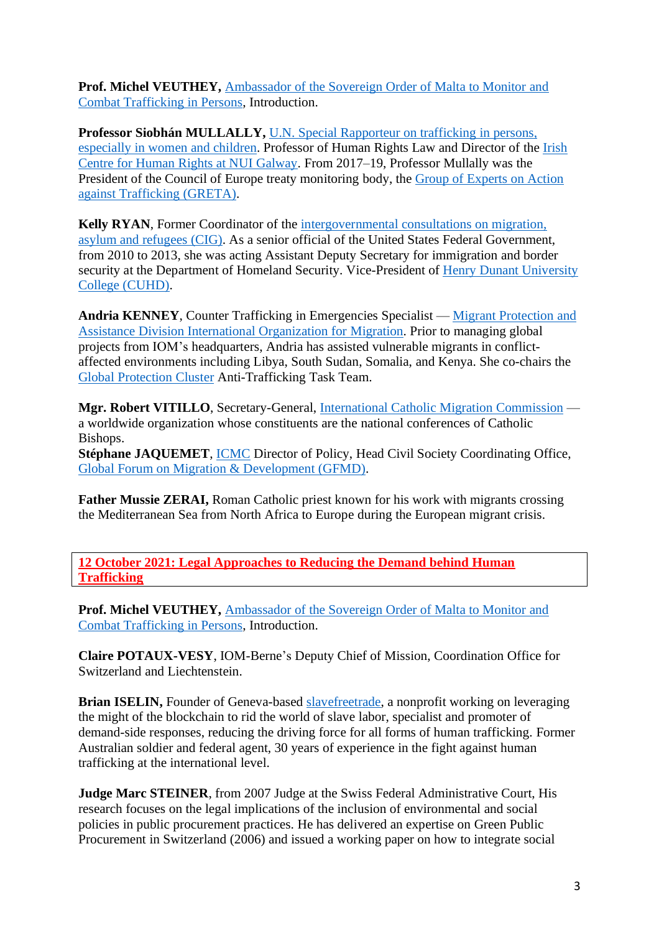**Prof. Michel VEUTHEY,** [Ambassador](https://nohumantrafficking.orderofmalta.int/en/the-ambassador/) of the Sovereign Order of Malta to Monitor and Combat [Trafficking](https://nohumantrafficking.orderofmalta.int/en/the-ambassador/) in Persons, Introduction.

**Professor Siobhán MULLALLY,** U.N. Special [Rapporteur](https://www.ohchr.org/en/issues/trafficking/pages/traffickingindex.aspx) on trafficking in persons, [especially](https://www.ohchr.org/en/issues/trafficking/pages/traffickingindex.aspx) in women and children. Professor of Human Rights Law and Director of the [Irish](https://www.nuigalway.ie/irish-centre-human-rights/) Centre for Human Rights at NUI [Galway.](https://www.nuigalway.ie/irish-centre-human-rights/) From 2017–19, Professor Mullally was the President of the Council of Europe treaty monitoring body, the Group of [Experts](https://www.coe.int/en/web/anti-human-trafficking/greta) on Action against [Trafficking](https://www.coe.int/en/web/anti-human-trafficking/greta) (GRETA).

**Kelly RYAN**, Former Coordinator of the [intergovernmental](https://www.igc-publications.ch/) consultations on migration, asylum and [refugees](https://www.igc-publications.ch/) (CIG). As a senior official of the United States Federal Government, from 2010 to 2013, she was acting Assistant Deputy Secretary for immigration and border security at the Department of Homeland Security. Vice-President of Henry Dunant [University](https://www.cuhd.org/?lang=en) College [\(CUHD\).](https://www.cuhd.org/?lang=en)

**Andria KENNEY**, Counter Trafficking in Emergencies Specialist — Migrant [Protection](https://www.iom.int/migrant-assistance-and-protection) and Assistance Division International [Organization](https://www.iom.int/migrant-assistance-and-protection) for Migration. Prior to managing global projects from IOM's headquarters, Andria has assisted vulnerable migrants in conflictaffected environments including Libya, South Sudan, Somalia, and Kenya. She co-chairs the Global [Protection](https://www.globalprotectioncluster.org/) Cluster Anti-Trafficking Task Team.

**Mgr. Robert VITILLO**, Secretary-General, [International](https://www.icmc.net/) Catholic Migration Commission a worldwide organization whose constituents are the national conferences of Catholic Bishops.

**Stéphane JAQUEMET**, [ICMC](https://www.icmc.net/) Director of Policy, Head Civil Society Coordinating Office, Global Forum on Migration & [Development](https://www.gfmd.org/) (GFMD).

**Father Mussie ZERAI,** Roman Catholic priest known for his work with migrants crossing the Mediterranean Sea from North Africa to Europe during the European migrant crisis.

**12 October 2021: Legal Approaches to Reducing the Demand behind Human Trafficking**

**Prof. Michel VEUTHEY,** [Ambassador](https://nohumantrafficking.orderofmalta.int/en/the-ambassador/) of the Sovereign Order of Malta to Monitor and Combat [Trafficking](https://nohumantrafficking.orderofmalta.int/en/the-ambassador/) in Persons, Introduction.

**Claire POTAUX-VESY**, [IOM-Berne'](https://switzerland.iom.int/fr)s Deputy Chief of Mission, Coordination Office for Switzerland and Liechtenstein.

**Brian ISELIN,** Founder of Geneva-based [slavefreetrade,](https://slavefreetrade.org/) a nonprofit working on leveraging the might of the blockchain to rid the world of slave labor, specialist and promoter of demand-side responses, reducing the driving force for all forms of human trafficking. Former Australian soldier and federal agent, 30 years of experience in the fight against human trafficking at the international level.

**Judge Marc STEINER**, from 2007 Judge at the Swiss Federal Administrative Court, His research focuses on the legal implications of the inclusion of environmental and social policies in public procurement practices. He has delivered an expertise on Green Public Procurement in Switzerland (2006) and issued a working paper on how to integrate social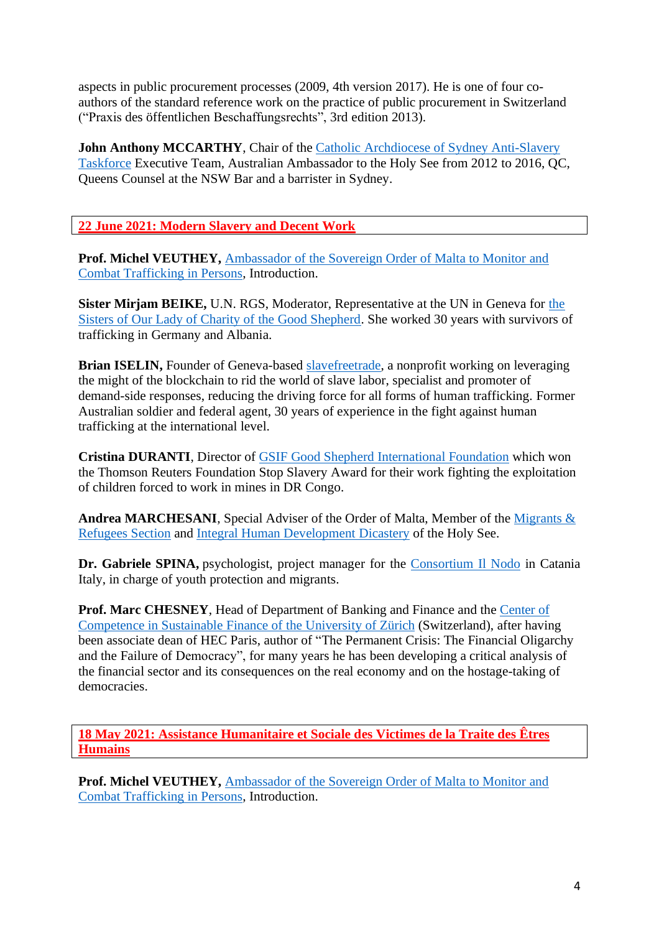aspects in public procurement processes (2009, 4th version 2017). He is one of four coauthors of the standard reference work on the practice of public procurement in Switzerland ("Praxis des öffentlichen Beschaffungsrechts", 3rd edition 2013).

**John Anthony MCCARTHY**, Chair of the Catholic Archdiocese of Sydney [Anti-Slavery](https://www.sydneycatholic.org/directory/listing/anti-slavery-taskforce) [Taskforce](https://www.sydneycatholic.org/directory/listing/anti-slavery-taskforce) Executive Team, Australian Ambassador to the Holy See from 2012 to 2016, QC, Queens Counsel at the NSW Bar and a barrister in Sydney.

# **22 June 2021: Modern Slavery and Decent Work**

**Prof. Michel VEUTHEY,** [Ambassador](https://nohumantrafficking.orderofmalta.int/en/the-ambassador/) of the Sovereign Order of Malta to Monitor and Combat [Trafficking](https://nohumantrafficking.orderofmalta.int/en/the-ambassador/) in Persons, Introduction.

**Sister Mirjam BEIKE,** U.N. RGS, Moderator, Representative at the UN in Geneva for [the](https://rgs.gssweb.org/) Sisters of Our Lady of Charity of the Good [Shepherd.](https://rgs.gssweb.org/) She worked 30 years with survivors of trafficking in Germany and Albania.

**Brian ISELIN,** Founder of Geneva-based [slavefreetrade,](https://slavefreetrade.org/) a nonprofit working on leveraging the might of the blockchain to rid the world of slave labor, specialist and promoter of demand-side responses, reducing the driving force for all forms of human trafficking. Former Australian soldier and federal agent, 30 years of experience in the fight against human trafficking at the international level.

**Cristina DURANTI**, Director of GSIF Good Shepherd [International](https://www.gsif.it/fr/) Foundation which won the Thomson Reuters Foundation Stop Slavery Award for their work fighting the exploitation of children forced to work in mines in DR Congo.

**Andrea MARCHESANI**, Special Adviser of the Order of Malta, Member of the [Migrants](https://migrants-refugees.va/) & [Refugees](https://migrants-refugees.va/) Section and Integral Human [Development](https://www.humandevelopment.va/en.html) Dicastery of the Holy See.

**Dr. Gabriele SPINA,** psychologist, project manager for the [Consortium](http://www.ilnodo.org/) Il Nodo in Catania Italy, in charge of youth protection and migrants.

**Prof. Marc CHESNEY**, Head of Department of Banking and Finance and the [Center](https://www.sustainablefinance.uzh.ch/en/about.html) of [Competence](https://www.sustainablefinance.uzh.ch/en/about.html) in Sustainable Finance of the University of Zürich (Switzerland), after having been associate dean of HEC Paris, author of "The Permanent Crisis: The Financial Oligarchy and the Failure of Democracy", for many years he has been developing a critical analysis of the financial sector and its consequences on the real economy and on the hostage-taking of democracies.

**18 May 2021: Assistance Humanitaire et Sociale des Victimes de la Traite des Êtres Humains** 

**Prof. Michel VEUTHEY,** [Ambassador](https://nohumantrafficking.orderofmalta.int/en/the-ambassador/) of the Sovereign Order of Malta to Monitor and Combat [Trafficking](https://nohumantrafficking.orderofmalta.int/en/the-ambassador/) in Persons, Introduction.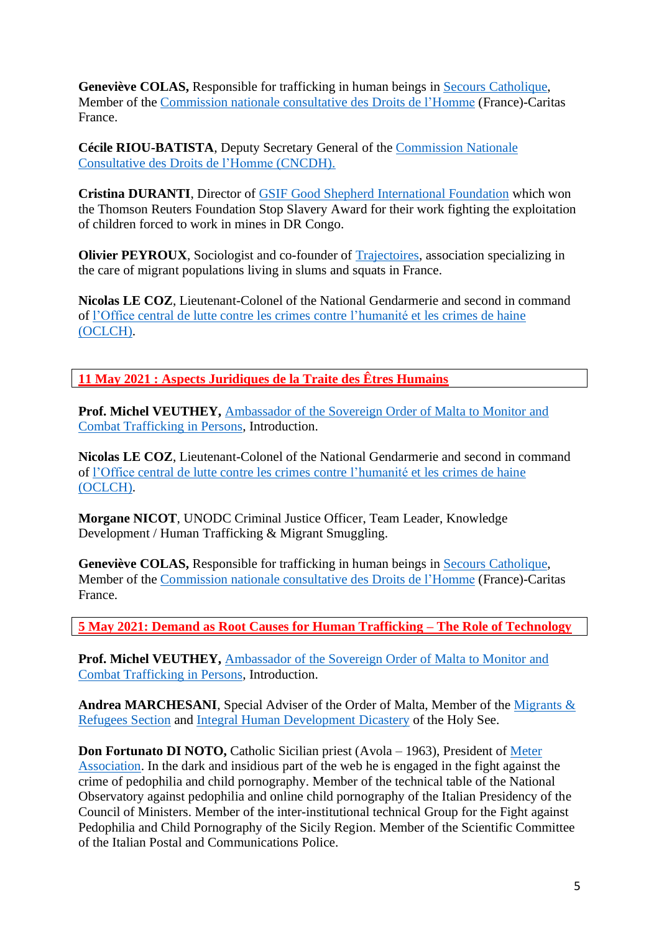**Geneviève COLAS,** Responsible for trafficking in human beings in Secours [Catholique,](https://www.secours-catholique.org/) Member of the [Commission](https://www.cncdh.fr/) nationale consultative des Droits de l'Homme (France)-Caritas France.

**Cécile RIOU-BATISTA**, Deputy Secretary General of the [Commission](https://www.cncdh.fr/) Nationale [Consultative](https://www.cncdh.fr/) des Droits de l'Homme (CNCDH).

**Cristina DURANTI**, Director of GSIF Good Shepherd [International](https://www.gsif.it/fr/) Foundation which won the Thomson Reuters Foundation Stop Slavery Award for their work fighting the exploitation of children forced to work in mines in DR Congo.

**Olivier PEYROUX**, Sociologist and co-founder of [Trajectoires,](https://www.trajectoires-asso.fr/) association specializing in the care of migrant populations living in slums and squats in France.

**Nicolas LE COZ**, Lieutenant-Colonel of the National Gendarmerie and second in command of l'Office central de lutte contre les crimes contre [l'humanité](https://www.gendarmerie.interieur.gouv.fr/notre-institution/nos-composantes/au-niveau-central/les-offices/l-office-central-de-lutte-contre-les-crimes-contre-l-humanite-les-genocides-et-les-crimes-de-guerre-oclch) et les crimes de haine [\(OCLCH\).](https://www.gendarmerie.interieur.gouv.fr/notre-institution/nos-composantes/au-niveau-central/les-offices/l-office-central-de-lutte-contre-les-crimes-contre-l-humanite-les-genocides-et-les-crimes-de-guerre-oclch)

**11 May 2021 : Aspects Juridiques de la Traite des Êtres Humains**

**Prof. Michel VEUTHEY,** [Ambassador](https://nohumantrafficking.orderofmalta.int/en/the-ambassador/) of the Sovereign Order of Malta to Monitor and Combat [Trafficking](https://nohumantrafficking.orderofmalta.int/en/the-ambassador/) in Persons, Introduction.

**Nicolas LE COZ**, Lieutenant-Colonel of the National Gendarmerie and second in command of l'Office central de lutte contre les crimes contre [l'humanité](https://www.gendarmerie.interieur.gouv.fr/notre-institution/nos-composantes/au-niveau-central/les-offices/l-office-central-de-lutte-contre-les-crimes-contre-l-humanite-les-genocides-et-les-crimes-de-guerre-oclch) et les crimes de haine [\(OCLCH\).](https://www.gendarmerie.interieur.gouv.fr/notre-institution/nos-composantes/au-niveau-central/les-offices/l-office-central-de-lutte-contre-les-crimes-contre-l-humanite-les-genocides-et-les-crimes-de-guerre-oclch)

**Morgane NICOT**, UNODC Criminal Justice Officer, Team Leader, Knowledge Development / Human Trafficking & Migrant Smuggling.

**Geneviève COLAS,** Responsible for trafficking in human beings in Secours [Catholique,](https://www.secours-catholique.org/) Member of the [Commission](https://www.cncdh.fr/) nationale consultative des Droits de l'Homme (France)-Caritas France.

**5 May 2021: Demand as Root Causes for Human Trafficking – The Role of Technology**

**Prof. Michel VEUTHEY,** [Ambassador](https://nohumantrafficking.orderofmalta.int/en/the-ambassador/) of the Sovereign Order of Malta to Monitor and Combat [Trafficking](https://nohumantrafficking.orderofmalta.int/en/the-ambassador/) in Persons, Introduction.

**Andrea MARCHESANI**, Special Adviser of the Order of Malta, Member of the [Migrants](https://migrants-refugees.va/) & [Refugees](https://migrants-refugees.va/) Section and Integral Human [Development](https://www.humandevelopment.va/en.html) Dicastery of the Holy See.

**Don Fortunato DI NOTO,** Catholic Sicilian priest (Avola – 1963), President of [Meter](https://www.associazionemeter.org/) [Association.](https://www.associazionemeter.org/) In the dark and insidious part of the web he is engaged in the fight against the crime of pedophilia and child pornography. Member of the technical table of the National Observatory against pedophilia and online child pornography of the Italian Presidency of the Council of Ministers. Member of the inter-institutional technical Group for the Fight against Pedophilia and Child Pornography of the Sicily Region. Member of the Scientific Committee of the Italian Postal and Communications Police.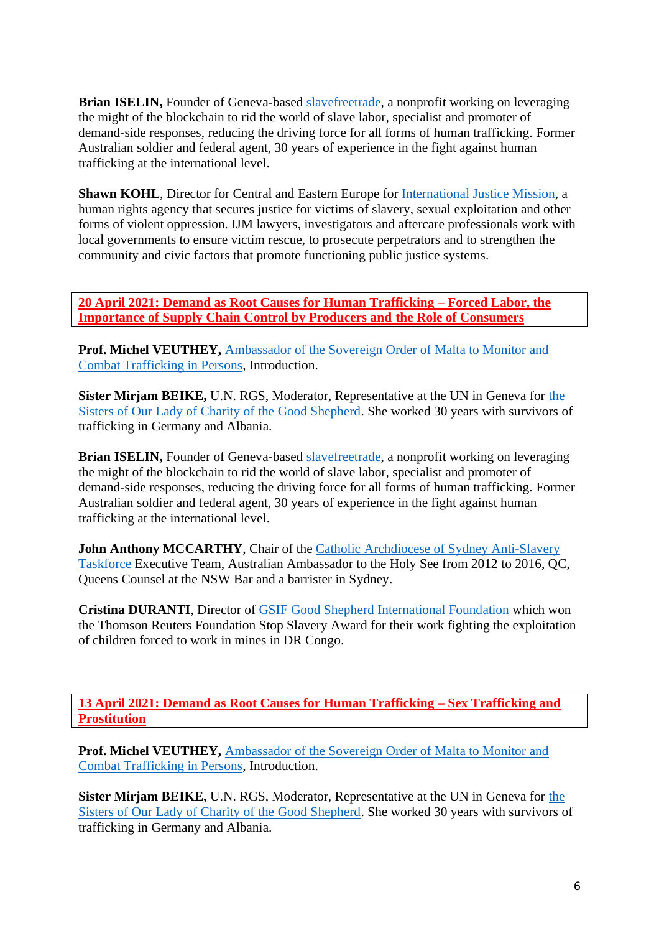**Brian ISELIN,** Founder of Geneva-based [slavefreetrade,](https://slavefreetrade.org/) a nonprofit working on leveraging the might of the blockchain to rid the world of slave labor, specialist and promoter of demand-side responses, reducing the driving force for all forms of human trafficking. Former Australian soldier and federal agent, 30 years of experience in the fight against human trafficking at the international level.

**Shawn KOHL**, Director for Central and Eastern Europe for [International](https://www.ijm.org/) Justice Mission, a human rights agency that secures justice for victims of slavery, sexual exploitation and other forms of violent oppression. IJM lawyers, investigators and aftercare professionals work with local governments to ensure victim rescue, to prosecute perpetrators and to strengthen the community and civic factors that promote functioning public justice systems.

**20 April 2021: Demand as Root Causes for Human Trafficking – Forced Labor, the Importance of Supply Chain Control by Producers and the Role of Consumers** 

**Prof. Michel VEUTHEY,** [Ambassador](https://nohumantrafficking.orderofmalta.int/en/the-ambassador/) of the Sovereign Order of Malta to Monitor and Combat [Trafficking](https://nohumantrafficking.orderofmalta.int/en/the-ambassador/) in Persons, Introduction.

**Sister Mirjam BEIKE,** U.N. RGS, Moderator, Representative at the UN in Geneva for [the](https://rgs.gssweb.org/) Sisters of Our Lady of Charity of the Good [Shepherd.](https://rgs.gssweb.org/) She worked 30 years with survivors of trafficking in Germany and Albania.

**Brian ISELIN,** Founder of Geneva-based [slavefreetrade,](https://slavefreetrade.org/) a nonprofit working on leveraging the might of the blockchain to rid the world of slave labor, specialist and promoter of demand-side responses, reducing the driving force for all forms of human trafficking. Former Australian soldier and federal agent, 30 years of experience in the fight against human trafficking at the international level.

**John Anthony MCCARTHY**, Chair of the Catholic Archdiocese of Sydney [Anti-Slavery](https://www.sydneycatholic.org/directory/listing/anti-slavery-taskforce) [Taskforce](https://www.sydneycatholic.org/directory/listing/anti-slavery-taskforce) Executive Team, Australian Ambassador to the Holy See from 2012 to 2016, QC, Queens Counsel at the NSW Bar and a barrister in Sydney.

**Cristina DURANTI**, Director of GSIF Good Shepherd [International](https://www.gsif.it/fr/) Foundation which won the Thomson Reuters Foundation Stop Slavery Award for their work fighting the exploitation of children forced to work in mines in DR Congo.

**13 April 2021: Demand as Root Causes for Human Trafficking – Sex Trafficking and Prostitution** 

**Prof. Michel VEUTHEY,** [Ambassador](https://nohumantrafficking.orderofmalta.int/en/the-ambassador/) of the Sovereign Order of Malta to Monitor and Combat [Trafficking](https://nohumantrafficking.orderofmalta.int/en/the-ambassador/) in Persons, Introduction.

**Sister Mirjam BEIKE,** U.N. RGS, Moderator, Representative at the UN in Geneva for [the](https://rgs.gssweb.org/) Sisters of Our Lady of Charity of the Good [Shepherd.](https://rgs.gssweb.org/) She worked 30 years with survivors of trafficking in Germany and Albania.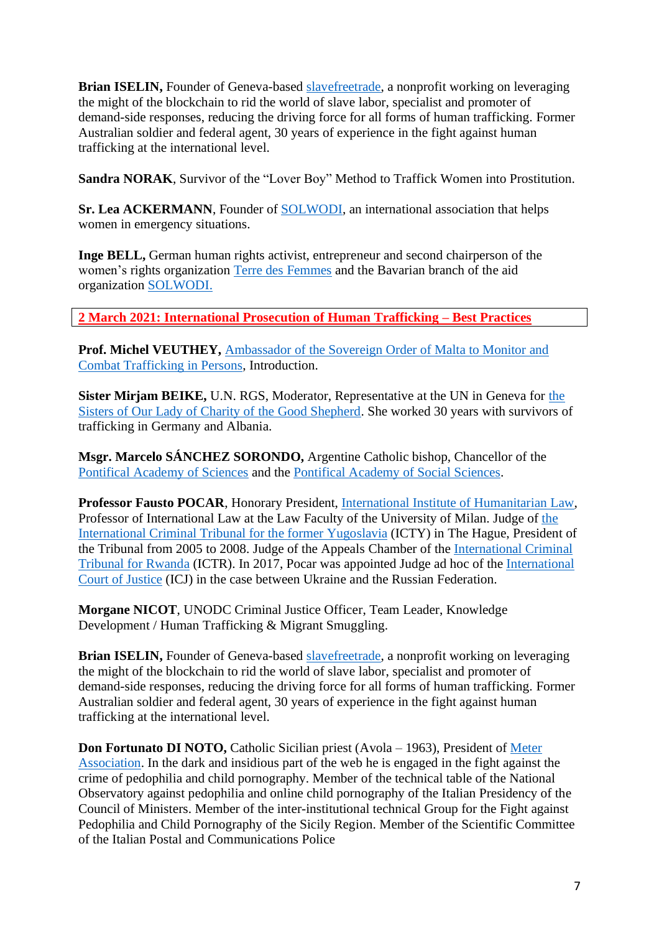**Brian ISELIN,** Founder of Geneva-based [slavefreetrade,](https://slavefreetrade.org/) a nonprofit working on leveraging the might of the blockchain to rid the world of slave labor, specialist and promoter of demand-side responses, reducing the driving force for all forms of human trafficking. Former Australian soldier and federal agent, 30 years of experience in the fight against human trafficking at the international level.

**Sandra NORAK**, Survivor of the "Lover Boy" Method to Traffick Women into Prostitution.

**Sr. Lea ACKERMANN**, Founder of [SOLWODI,](https://www.solwodi.de/texte/seite.php?id=482244&lang=en) an international association that helps women in emergency situations.

**Inge BELL,** German human rights activist, entrepreneur and second chairperson of the women's rights organization Terre des [Femmes](https://www.frauenrechte.de/) and the Bavarian branch of the aid organization [SOLWODI.](https://www.solwodi.de/texte/seite.php?id=482244&lang=en)

**2 March 2021: International Prosecution of Human Trafficking – Best Practices**

**Prof. Michel VEUTHEY,** [Ambassador](https://nohumantrafficking.orderofmalta.int/en/the-ambassador/) of the Sovereign Order of Malta to Monitor and Combat [Trafficking](https://nohumantrafficking.orderofmalta.int/en/the-ambassador/) in Persons, Introduction.

**Sister Mirjam BEIKE,** U.N. RGS, Moderator, Representative at the UN in Geneva for [the](https://rgs.gssweb.org/) Sisters of Our Lady of Charity of the Good [Shepherd.](https://rgs.gssweb.org/) She worked 30 years with survivors of trafficking in Germany and Albania.

**Msgr. Marcelo SÁNCHEZ SORONDO,** Argentine Catholic bishop, Chancellor of the [Pontifical](http://www.pas.va/content/accademia/en.html) Academy of Sciences and the [Pontifical](http://www.pass.va/content/scienzesociali/en.html) Academy of Social Sciences.

**Professor Fausto POCAR**, Honorary President, International Institute of [Humanitarian](https://iihl.org/) Law, Professor of International Law at the Law Faculty of the University of Milan. Judge of [the](https://www.icty.org/) [International](https://www.icty.org/) Criminal Tribunal for the former Yugoslavia (ICTY) in The Hague, President of the Tribunal from 2005 to 2008. Judge of the Appeals Chamber of the [International](https://unictr.irmct.org/) Criminal [Tribunal](https://unictr.irmct.org/) for Rwanda (ICTR). In 2017, Pocar was appointed Judge ad hoc of the [International](https://www.icj-cij.org/en) Court of [Justice](https://www.icj-cij.org/en) (ICJ) in the case between Ukraine and the Russian Federation.

**Morgane NICOT**, UNODC Criminal Justice Officer, Team Leader, Knowledge Development / Human Trafficking & Migrant Smuggling.

**Brian ISELIN,** Founder of Geneva-based [slavefreetrade,](https://slavefreetrade.org/) a nonprofit working on leveraging the might of the blockchain to rid the world of slave labor, specialist and promoter of demand-side responses, reducing the driving force for all forms of human trafficking. Former Australian soldier and federal agent, 30 years of experience in the fight against human trafficking at the international level.

**Don Fortunato DI NOTO,** Catholic Sicilian priest (Avola – 1963), President of [Meter](https://www.associazionemeter.org/) [Association.](https://www.associazionemeter.org/) In the dark and insidious part of the web he is engaged in the fight against the crime of pedophilia and child pornography. Member of the technical table of the National Observatory against pedophilia and online child pornography of the Italian Presidency of the Council of Ministers. Member of the inter-institutional technical Group for the Fight against Pedophilia and Child Pornography of the Sicily Region. Member of the Scientific Committee of the Italian Postal and Communications Police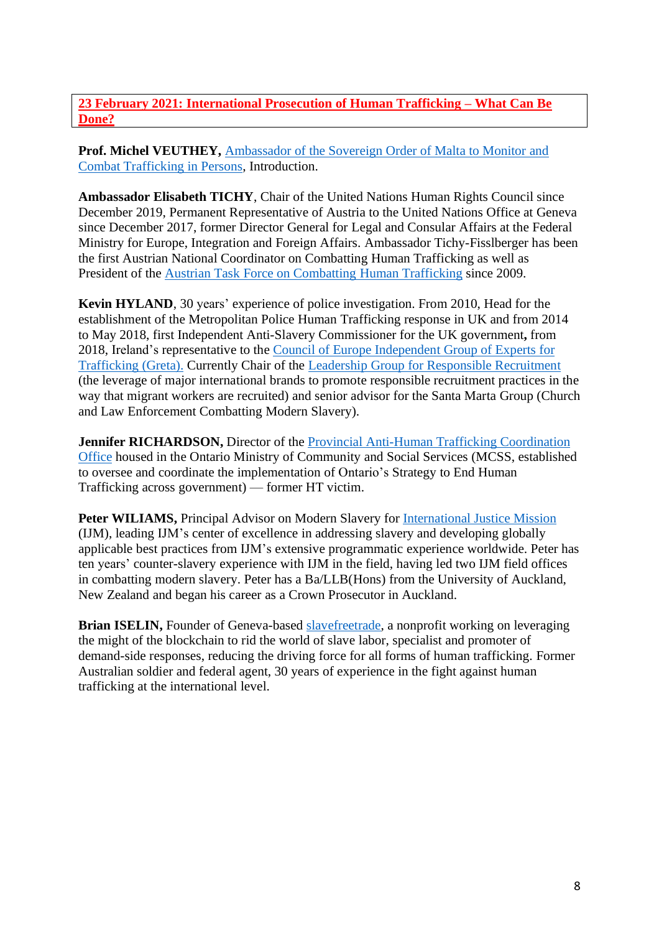## **23 February 2021: International Prosecution of Human Trafficking – What Can Be Done?**

**Prof. Michel VEUTHEY,** [Ambassador](https://nohumantrafficking.orderofmalta.int/en/the-ambassador/) of the Sovereign Order of Malta to Monitor and Combat [Trafficking](https://nohumantrafficking.orderofmalta.int/en/the-ambassador/) in Persons, Introduction.

**Ambassador Elisabeth TICHY**, Chair of the United Nations Human Rights Council since December 2019, Permanent Representative of Austria to the United Nations Office at Geneva since December 2017, former Director General for Legal and Consular Affairs at the Federal Ministry for Europe, Integration and Foreign Affairs. Ambassador Tichy-Fisslberger has been the first Austrian National Coordinator on Combatting Human Trafficking as well as President of the Austrian Task Force on [Combatting](https://www.bmeia.gv.at/en/european-foreign-policy/human-rights/combating-trafficking-in-human-beings/) Human Trafficking since 2009.

**Kevin HYLAND**, 30 years' experience of police investigation. From 2010, Head for the establishment of the Metropolitan Police Human Trafficking response in UK and from 2014 to May 2018, first Independent Anti-Slavery Commissioner for the UK government**,** from 2018, Ireland's representative to the Council of Europe [Independent](https://www.coe.int/en/web/anti-human-trafficking/greta) Group of Experts for [Trafficking](https://www.coe.int/en/web/anti-human-trafficking/greta) (Greta). Currently Chair of the Leadership Group for Responsible [Recruitment](https://www.ihrb.org/employerpays/leadership-group-for-responsible-recruitment) (the leverage of major international brands to promote responsible recruitment practices in the way that migrant workers are recruited) and senior advisor for the Santa Marta Group (Church and Law Enforcement Combatting Modern Slavery).

**Jennifer RICHARDSON,** Director of the Provincial Anti-Human Trafficking [Coordination](https://www.ontario.ca/page/human-trafficking-services-and-supports) [Office](https://www.ontario.ca/page/human-trafficking-services-and-supports) housed in the Ontario Ministry of Community and Social Services (MCSS, established to oversee and coordinate the implementation of Ontario's Strategy to End Human Trafficking across government) — former HT victim.

**Peter WILIAMS,** Principal Advisor on Modern Slavery for [International](https://www.ijm.org/) Justice Mission (IJM), leading IJM's center of excellence in addressing slavery and developing globally applicable best practices from IJM's extensive programmatic experience worldwide. Peter has ten years' counter-slavery experience with IJM in the field, having led two IJM field offices in combatting modern slavery. Peter has a Ba/LLB(Hons) from the University of Auckland, New Zealand and began his career as a Crown Prosecutor in Auckland.

**Brian ISELIN,** Founder of Geneva-based [slavefreetrade,](https://slavefreetrade.org/) a nonprofit working on leveraging the might of the blockchain to rid the world of slave labor, specialist and promoter of demand-side responses, reducing the driving force for all forms of human trafficking. Former Australian soldier and federal agent, 30 years of experience in the fight against human trafficking at the international level.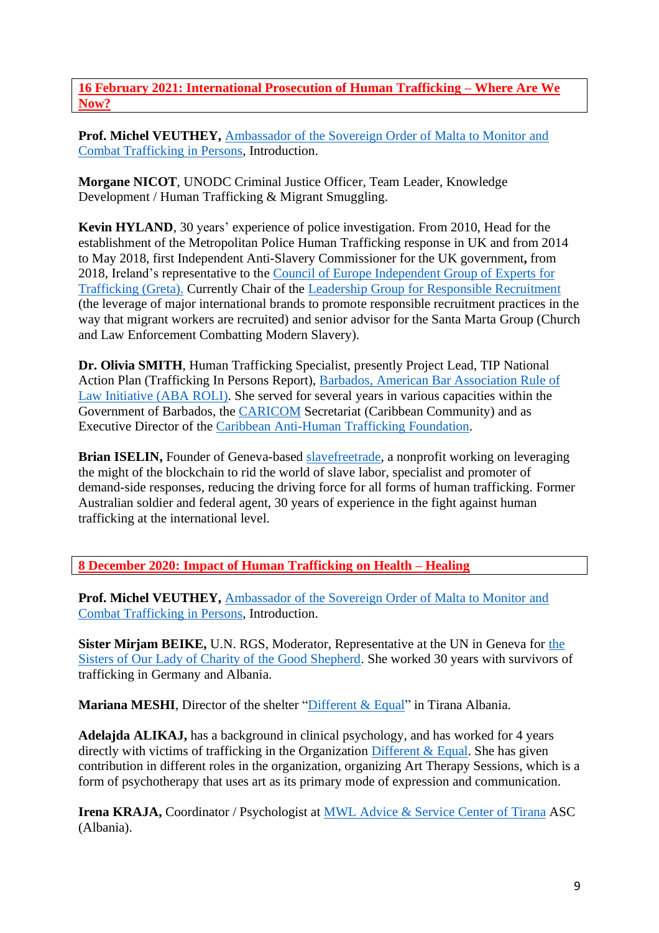**16 February 2021: International Prosecution of Human Trafficking – Where Are We Now?**

**Prof. Michel VEUTHEY,** [Ambassador](https://nohumantrafficking.orderofmalta.int/en/the-ambassador/) of the Sovereign Order of Malta to Monitor and Combat [Trafficking](https://nohumantrafficking.orderofmalta.int/en/the-ambassador/) in Persons, Introduction.

**Morgane NICOT**, UNODC Criminal Justice Officer, Team Leader, Knowledge Development / Human Trafficking & Migrant Smuggling.

**Kevin HYLAND**, 30 years' experience of police investigation. From 2010, Head for the establishment of the Metropolitan Police Human Trafficking response in UK and from 2014 to May 2018, first Independent Anti-Slavery Commissioner for the UK government**,** from 2018, Ireland's representative to the Council of Europe [Independent](https://www.coe.int/en/web/anti-human-trafficking/greta) Group of Experts for [Trafficking](https://www.coe.int/en/web/anti-human-trafficking/greta) (Greta). Currently Chair of the Leadership Group for Responsible [Recruitment](https://www.ihrb.org/employerpays/leadership-group-for-responsible-recruitment) (the leverage of major international brands to promote responsible recruitment practices in the way that migrant workers are recruited) and senior advisor for the Santa Marta Group (Church and Law Enforcement Combatting Modern Slavery).

**Dr. Olivia SMITH**, Human Trafficking Specialist, presently Project Lead, TIP National Action Plan (Trafficking In Persons Report), Barbados, American Bar [Association](https://www.americanbar.org/advocacy/rule_of_law/where_we_work/latin_america_caribbean/barbados/) Rule of Law [Initiative](https://www.americanbar.org/advocacy/rule_of_law/where_we_work/latin_america_caribbean/barbados/) (ABA ROLI). She served for several years in various capacities within the Government of Barbados, the [CARICOM](https://caricom.org/) Secretariat (Caribbean Community) and as Executive Director of the Caribbean [Anti-Human](https://tcatf.org/) Trafficking Foundation.

**Brian ISELIN,** Founder of Geneva-based [slavefreetrade,](https://slavefreetrade.org/) a nonprofit working on leveraging the might of the blockchain to rid the world of slave labor, specialist and promoter of demand-side responses, reducing the driving force for all forms of human trafficking. Former Australian soldier and federal agent, 30 years of experience in the fight against human trafficking at the international level.

**8 December 2020: Impact of Human Trafficking on Health – Healing** 

**Prof. Michel VEUTHEY,** [Ambassador](https://nohumantrafficking.orderofmalta.int/en/the-ambassador/) of the Sovereign Order of Malta to Monitor and Combat [Trafficking](https://nohumantrafficking.orderofmalta.int/en/the-ambassador/) in Persons, Introduction.

**Sister Mirjam BEIKE,** U.N. RGS, Moderator, Representative at the UN in Geneva for [the](https://rgs.gssweb.org/) Sisters of Our Lady of Charity of the Good [Shepherd.](https://rgs.gssweb.org/) She worked 30 years with survivors of trafficking in Germany and Albania.

**Mariana MESHI**, Director of the shelter ["Different](http://differentandequal.org/en/) & Equal" in Tirana Albania.

**Adelajda ALIKAJ,** has a background in clinical psychology, and has worked for 4 years directly with victims of trafficking in the Organization [Different](http://differentandequal.org/en/) & Equal. She has given contribution in different roles in the organization, organizing Art Therapy Sessions, which is a form of psychotherapy that uses art as its primary mode of expression and communication.

**Irena KRAJA,** Coordinator / Psychologist at MWL Advice & [Service](https://www.albaniahope.com/get-involved-2/) Center of Tirana ASC (Albania).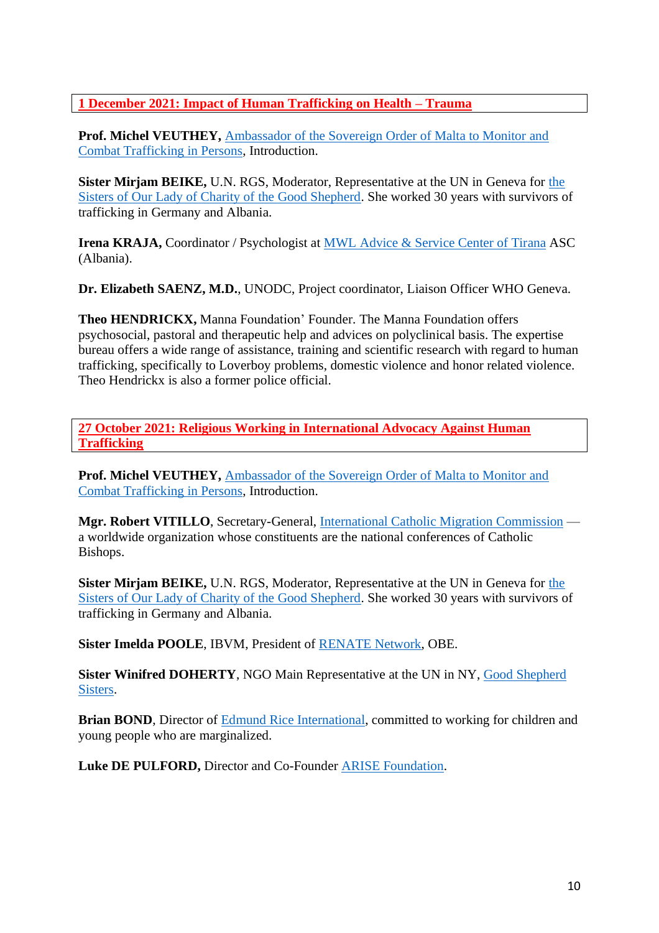**1 December 2021: Impact of Human Trafficking on Health – Trauma** 

**Prof. Michel VEUTHEY,** [Ambassador](https://nohumantrafficking.orderofmalta.int/en/the-ambassador/) of the Sovereign Order of Malta to Monitor and Combat [Trafficking](https://nohumantrafficking.orderofmalta.int/en/the-ambassador/) in Persons, Introduction.

**Sister Mirjam BEIKE,** U.N. RGS, Moderator, Representative at the UN in Geneva for [the](https://rgs.gssweb.org/) Sisters of Our Lady of Charity of the Good [Shepherd.](https://rgs.gssweb.org/) She worked 30 years with survivors of trafficking in Germany and Albania.

**Irena KRAJA,** Coordinator / Psychologist at **MWL** Advice & [Service](https://www.albaniahope.com/get-involved-2/) Center of Tirana ASC (Albania).

**Dr. Elizabeth SAENZ, M.D.**, UNODC, Project coordinator, Liaison Officer WHO Geneva.

**Theo HENDRICKX,** Manna Foundation' Founder. The Manna Foundation offers psychosocial, pastoral and therapeutic help and advices on polyclinical basis. The expertise bureau offers a wide range of assistance, training and scientific research with regard to human trafficking, specifically to Loverboy problems, domestic violence and honor related violence. Theo Hendrickx is also a former police official.

**27 October 2021: Religious Working in International Advocacy Against Human Trafficking**

**Prof. Michel VEUTHEY,** [Ambassador](https://nohumantrafficking.orderofmalta.int/en/the-ambassador/) of the Sovereign Order of Malta to Monitor and Combat [Trafficking](https://nohumantrafficking.orderofmalta.int/en/the-ambassador/) in Persons, Introduction.

**Mgr. Robert VITILLO**, Secretary-General, [International](https://www.icmc.net/) Catholic Migration Commission a worldwide organization whose constituents are the national conferences of Catholic Bishops.

**Sister Mirjam BEIKE,** U.N. RGS, Moderator, Representative at the UN in Geneva for [the](https://rgs.gssweb.org/) Sisters of Our Lady of Charity of the Good [Shepherd.](https://rgs.gssweb.org/) She worked 30 years with survivors of trafficking in Germany and Albania.

**Sister Imelda POOLE**, IBVM, President of [RENATE](https://www.renate-europe.net/) Network, OBE.

**Sister Winifred DOHERTY**, NGO Main Representative at the UN in NY, Good [Shepherd](https://rgs.gssweb.org/) [Sisters.](https://rgs.gssweb.org/)

**Brian BOND**, Director of Edmund Rice [International,](http://www.edmundriceinternational.org/) committed to working for children and young people who are marginalized.

**Luke DE PULFORD,** Director and Co-Founder ARISE [Foundation.](https://www.arisefdn.org/)